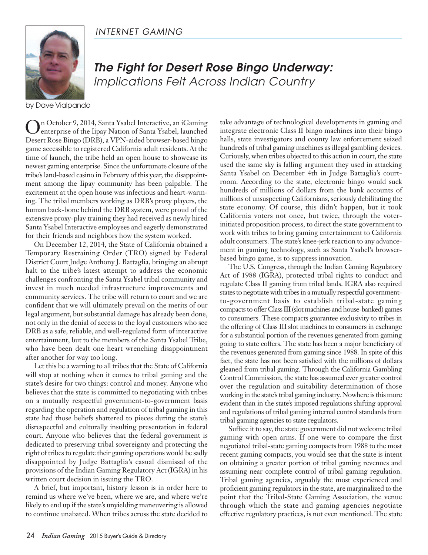

*The Fight for Desert Rose Bingo Underway: Implications Felt Across Indian Country*

by Dave Vialpando

On October 9, 2014, Santa Ysabel Interactive, an iGaming enterprise of the Iipay Nation of Santa Ysabel, launched Desert Rose Bingo (DRB), a VPN-aided browser-based bingo game accessible to registered California adult residents. At the time of launch, the tribe held an open house to showcase its newest gaming enterprise. Since the unfortunate closure of the tribe's land-based casino in February of this year, the disappointment among the Iipay community has been palpable. The excitement at the open house was infectious and heart-warming. The tribal members working as DRB's proxy players, the human back-bone behind the DRB system, were proud of the extensive proxy-play training they had received as newly hired Santa Ysabel Interactive employees and eagerly demonstrated for their friends and neighbors how the system worked.

On December 12, 2014, the State of California obtained a Temporary Restraining Order (TRO) signed by Federal District Court Judge Anthony J. Battaglia, bringing an abrupt halt to the tribe's latest attempt to address the economic challenges confronting the Santa Ysabel tribal community and invest in much needed infrastructure improvements and community services. The tribe will return to court and we are confident that we will ultimately prevail on the merits of our legal argument, but substantial damage has already been done, not only in the denial of access to the loyal customers who see DRB as a safe, reliable, and well-regulated form of interactive entertainment, but to the members of the Santa Ysabel Tribe, who have been dealt one heart wrenching disappointment after another for way too long.

Let this be a warning to all tribes that the State of California will stop at nothing when it comes to tribal gaming and the state's desire for two things: control and money. Anyone who believes that the state is committed to negotiating with tribes on a mutually respectful government-to-government basis regarding the operation and regulation of tribal gaming in this state had those beliefs shattered to pieces during the state's disrespectful and culturally insulting presentation in federal court. Anyone who believes that the federal government is dedicated to preserving tribal sovereignty and protecting the right of tribes to regulate their gaming operations would be sadly disappointed by Judge Battaglia's casual dismissal of the provisions of the Indian Gaming Regulatory Act (IGRA) in his written court decision in issuing the TRO.

A brief, but important, history lesson is in order here to remind us where we've been, where we are, and where we're likely to end up if the state's unyielding maneuvering is allowed to continue unabated. When tribes across the state decided to

take advantage of technological developments in gaming and integrate electronic Class II bingo machines into their bingo halls, state investigators and county law enforcement seized hundreds of tribal gaming machines as illegal gambling devices. Curiously, when tribes objected to this action in court, the state used the same sky is falling argument they used in attacking Santa Ysabel on December 4th in Judge Battaglia's courtroom. According to the state, electronic bingo would suck hundreds of millions of dollars from the bank accounts of millions of unsuspecting Californians, seriously debilitating the state economy. Of course, this didn't happen, but it took California voters not once, but twice, through the voterinitiated proposition process, to direct the state government to work with tribes to bring gaming entertainment to California adult consumers. The state's knee-jerk reaction to any advancement in gaming technology, such as Santa Ysabel's browserbased bingo game, is to suppress innovation.

The U.S. Congress, through the Indian Gaming Regulatory Act of 1988 (IGRA), protected tribal rights to conduct and regulate Class II gaming from tribal lands. IGRA also required states to negotiate with tribes in a mutually respectful governmentto-government basis to establish tribal-state gaming compacts to offer Class III (slot machines and house-banked) games to consumers. These compacts guarantee exclusivity to tribes in the offering of Class III slot machines to consumers in exchange for a substantial portion of the revenues generated from gaming going to state coffers. The state has been a major beneficiary of the revenues generated from gaming since 1988. In spite of this fact, the state has not been satisfied with the millions of dollars gleaned from tribal gaming. Through the California Gambling Control Commission, the state has assumed ever greater control over the regulation and suitability determination of those working in the state's tribal gaming industry. Nowhere is this more evident than in the state's imposed regulations shifting approval and regulations of tribal gaming internal control standards from tribal gaming agencies to state regulators.

Suffice it to say, the state government did not welcome tribal gaming with open arms. If one were to compare the first negotiated tribal-state gaming compacts from 1988 to the most recent gaming compacts, you would see that the state is intent on obtaining a greater portion of tribal gaming revenues and assuming near complete control of tribal gaming regulation. Tribal gaming agencies, arguably the most experienced and proficient gaming regulatorsin the state, are marginalized to the point that the Tribal-State Gaming Association, the venue through which the state and gaming agencies negotiate effective regulatory practices, is not even mentioned. The state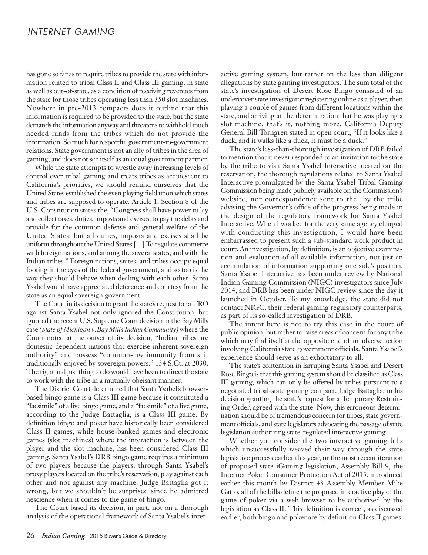has gone so far as to require tribes to provide the state with information related to tribal Class II and Class III gaming, in state as well as out-of-state, as a condition of receiving revenues from the state for those tribes operating less than 350 slot machines. Nowhere in pre-2013 compacts does it outline that this information is required to be provided to the state, but the state demands the information anyway and threatens to withhold much needed funds from the tribes which do not provide the information. So much for respectful government-to-government relations. State government is not an ally of tribes in the area of gaming, and does not see itself as an equal government partner.

While the state attempts to wrestle away increasing levels of control over tribal gaming and treats tribes as acquiescent to California's priorities, we should remind ourselves that the United States established the even playing field upon which states and tribes are supposed to operate. Article 1, Section 8 of the U.S. Constitution states the, "Congress shall have power to lay and collect taxes, duties, imposts and excises, to pay the debts and provide for the common defense and general welfare of the United States; but all duties, imposts and excises shall be uniform throughout the United States;[...] To regulate commerce with foreign nations, and among the several states, and with the Indian tribes." Foreign nations, states, and tribes occupy equal footing in the eyes of the federal government, and so too is the way they should behave when dealing with each other. Santa Ysabel would have appreciated deference and courtesy from the state as an equal sovereign government.

The Court in its decision to grant the state's request for a TRO against Santa Ysabel not only ignored the Constitution, but ignored the recent U.S. Supreme Court decision in the Bay Mills case *(State of Michigan v. Bay MillsIndian Community)* where the Court noted at the outset of its decision, "Indian tribes are domestic dependent nations that exercise inherent sovereign authority" and possess "common-law immunity from suit traditionally enjoyed by sovereign powers." 134 S.Ct. at 2030. The right and just thing to do would have been to direct the state to work with the tribe in a mutually obeisant manner.

The District Court determined that Santa Ysabel's browserbased bingo game is a Class III game because it constituted a "facsimile" of a live bingo game, and a "facsimile" of a live game, according to the Judge Battaglia, is a Class III game. By definition bingo and poker have historically been considered Class II games, while house-banked games and electronic games (slot machines) where the interaction is between the player and the slot machine, has been considered Class III gaming. Santa Ysabel's DRB bingo game requires a minimum of two players because the players, through Santa Ysabel's proxy players located on the tribe's reservation, play against each other and not against any machine. Judge Battaglia got it wrong, but we shouldn't be surprised since he admitted nescience when it comes to the game of bingo.

The Court based its decision, in part, not on a thorough analysis of the operational framework of Santa Ysabel's interactive gaming system, but rather on the less than diligent allegations by state gaming investigators. The sum total of the state's investigation of Desert Rose Bingo consisted of an undercover state investigator registering online as a player, then playing a couple of games from different locations within the state, and arriving at the determination that he was playing a slot machine, that's it, nothing more. California Deputy General Bill Torngren stated in open court, "If it looks like a duck, and it walks like a duck, it must be a duck."

The state's less-than-thorough investigation of DRB failed to mention that it never responded to an invitation to the state by the tribe to visit Santa Ysabel Interactive located on the reservation, the thorough regulations related to Santa Ysabel Interactive promulgated by the Santa Ysabel Tribal Gaming Commission being made publicly available on the Commission's website, nor correspondence sent to the by the tribe advising the Governor's office of the progress being made in the design of the regulatory framework for Santa Ysabel Interactive. When I worked for the very same agency charged with conducting this investigation, I would have been embarrassed to present such a sub-standard work product in court. An investigation, by definition, is an objective examination and evaluation of all available information, not just an accumulation of information supporting one side's position. Santa Ysabel Interactive has been under review by National Indian Gaming Commission (NIGC) investigators since July 2014, and DRB has been under NIGC review since the day it launched in October. To my knowledge, the state did not contact NIGC, their federal gaming regulatory counterparts, as part of its so-called investigation of DRB.

The intent here is not to try this case in the court of public opinion, but rather to raise areas of concern for any tribe which may find itself at the opposite end of an adverse action involving California state government officials. Santa Ysabel's experience should serve as an exhortatory to all.

The state's contention in larruping Santa Ysabel and Desert Rose Bingo is that this gaming system should be classified as Class III gaming, which can only be offered by tribes pursuant to a negotiated tribal-state gaming compact. Judge Battaglia, in his decision granting the state's request for a Temporary Restraining Order, agreed with the state. Now, this erroneous determination should be of tremendous concern for tribes, state government officials, and state legislators advocating the passage of state legislation authorizing state-regulated interactive gaming.

Whether you consider the two interactive gaming bills which unsuccessfully weaved their way through the state legislative process earlier this year, or the most recent iteration of proposed state iGaming legislation, Assembly Bill 9, the Internet Poker Consumer Protection Act of 2015, introduced earlier this month by District 43 Assembly Member Mike Gatto, all of the bills define the proposed interactive play of the game of poker via a web-browser to be authorized by the legislation as Class II. This definition is correct, as discussed earlier, both bingo and poker are by definition Class II games.